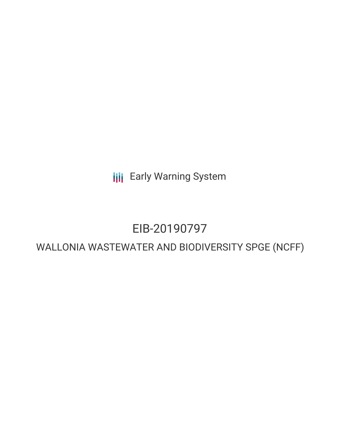**III** Early Warning System

# EIB-20190797

## WALLONIA WASTEWATER AND BIODIVERSITY SPGE (NCFF)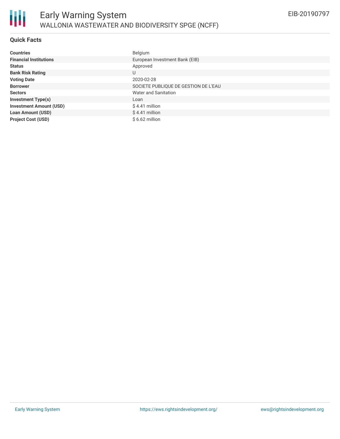#### **Quick Facts**

| <b>Countries</b>               | Belgium                              |
|--------------------------------|--------------------------------------|
| <b>Financial Institutions</b>  | European Investment Bank (EIB)       |
| <b>Status</b>                  | Approved                             |
| <b>Bank Risk Rating</b>        | U                                    |
| <b>Voting Date</b>             | 2020-02-28                           |
| <b>Borrower</b>                | SOCIETE PUBLIQUE DE GESTION DE L'EAU |
| <b>Sectors</b>                 | Water and Sanitation                 |
| <b>Investment Type(s)</b>      | Loan                                 |
| <b>Investment Amount (USD)</b> | $$4.41$ million                      |
| <b>Loan Amount (USD)</b>       | $$4.41$ million                      |
| <b>Project Cost (USD)</b>      | $$6.62$ million                      |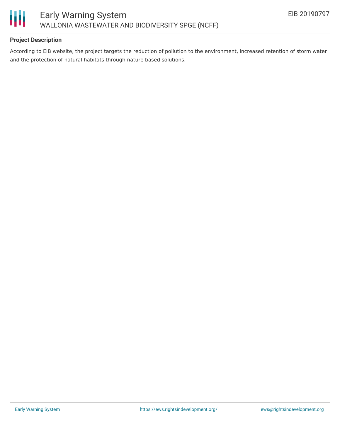

### **Project Description**

According to EIB website, the project targets the reduction of pollution to the environment, increased retention of storm water and the protection of natural habitats through nature based solutions.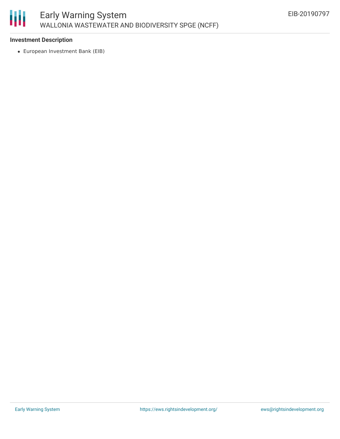

#### **Investment Description**

European Investment Bank (EIB)